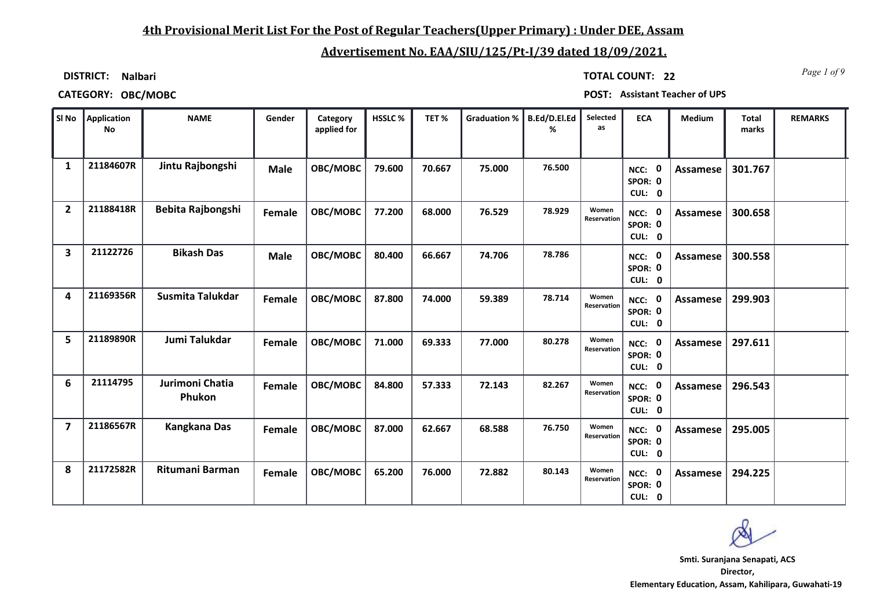## **4th Provisional Merit List For the Post of Regular Teachers(Upper Primary) : Under DEE, Assam**

# **Advertisement No. EAA/SIU/125/Pt-I/39 dated 18/09/2021.**

**DISTRICT: Nalbari**

*Page 1 of 9* **TOTAL COUNT: 22**

**CATEGORY: OBC/MOBC POST: Assistant Teacher of UPS**

| SI No          | Application<br><b>No</b> | <b>NAME</b>               | Gender      | Category<br>applied for | HSSLC% | TET%   | Graduation %   B.Ed/D.El.Ed | %      | Selected<br>as       | <b>ECA</b>                  | Medium          | <b>Total</b><br>marks | <b>REMARKS</b> |
|----------------|--------------------------|---------------------------|-------------|-------------------------|--------|--------|-----------------------------|--------|----------------------|-----------------------------|-----------------|-----------------------|----------------|
| 1              | 21184607R                | Jintu Rajbongshi          | <b>Male</b> | OBC/MOBC                | 79.600 | 70.667 | 75.000                      | 76.500 |                      | NCC: 0<br>SPOR: 0<br>CUL: 0 | Assamese        | 301.767               |                |
| $\overline{2}$ | 21188418R                | Bebita Rajbongshi         | Female      | OBC/MOBC                | 77.200 | 68.000 | 76.529                      | 78.929 | Women<br>Reservation | NCC: 0<br>SPOR: 0<br>CUL: 0 | <b>Assamese</b> | 300.658               |                |
| 3              | 21122726                 | <b>Bikash Das</b>         | <b>Male</b> | OBC/MOBC                | 80.400 | 66.667 | 74.706                      | 78.786 |                      | NCC: 0<br>SPOR: 0<br>CUL: 0 | Assamese        | 300.558               |                |
| 4              | 21169356R                | Susmita Talukdar          | Female      | OBC/MOBC                | 87.800 | 74.000 | 59.389                      | 78.714 | Women<br>Reservation | NCC: 0<br>SPOR: 0<br>CUL: 0 | Assamese        | 299.903               |                |
| 5              | 21189890R                | Jumi Talukdar             | Female      | OBC/MOBC                | 71.000 | 69.333 | 77.000                      | 80.278 | Women<br>Reservation | NCC: 0<br>SPOR: 0<br>CUL: 0 | Assamese        | 297.611               |                |
| 6              | 21114795                 | Jurimoni Chatia<br>Phukon | Female      | OBC/MOBC                | 84.800 | 57.333 | 72.143                      | 82.267 | Women<br>Reservation | NCC: 0<br>SPOR: 0<br>CUL: 0 | Assamese        | 296.543               |                |
| $\overline{7}$ | 21186567R                | <b>Kangkana Das</b>       | Female      | OBC/MOBC                | 87.000 | 62.667 | 68.588                      | 76.750 | Women<br>Reservation | NCC: 0<br>SPOR: 0<br>CUL: 0 | Assamese        | 295.005               |                |
| 8              | 21172582R                | Ritumani Barman           | Female      | OBC/MOBC                | 65.200 | 76.000 | 72.882                      | 80.143 | Women<br>Reservation | NCC: 0<br>SPOR: 0<br>CUL: 0 | Assamese        | 294.225               |                |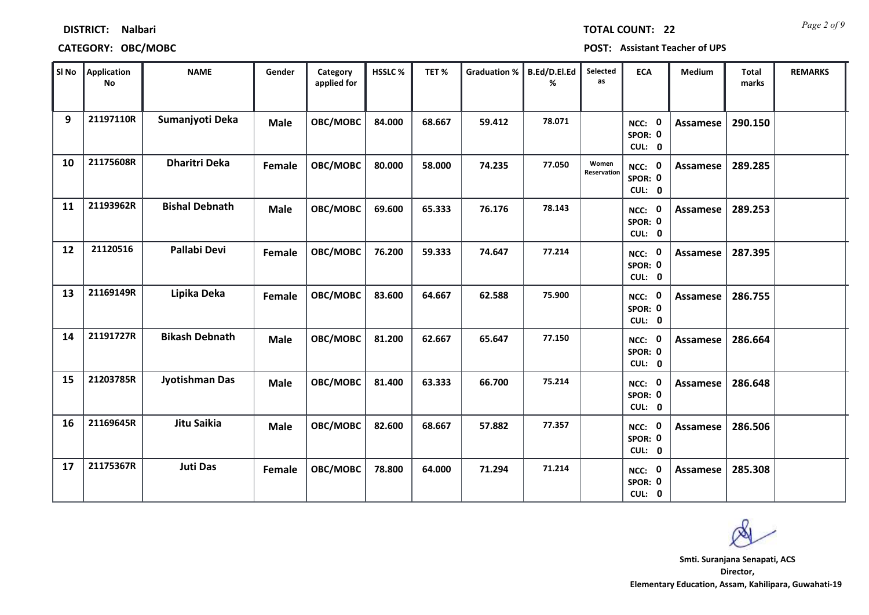|    | SI No Application<br><b>No</b> | <b>NAME</b>           | Gender      | Category<br>applied for | HSSLC% | TET%   | Graduation %   B.Ed/D.El.Ed | ℅      | Selected<br>as       | <b>ECA</b>                         | Medium   | <b>Total</b><br>marks | <b>REMARKS</b> |
|----|--------------------------------|-----------------------|-------------|-------------------------|--------|--------|-----------------------------|--------|----------------------|------------------------------------|----------|-----------------------|----------------|
| 9  | 21197110R                      | Sumanjyoti Deka       | <b>Male</b> | OBC/MOBC                | 84.000 | 68.667 | 59.412                      | 78.071 |                      | NCC: 0<br>SPOR: 0<br>CUL: 0        | Assamese | 290.150               |                |
| 10 | 21175608R                      | <b>Dharitri Deka</b>  | Female      | OBC/MOBC                | 80.000 | 58.000 | 74.235                      | 77.050 | Women<br>Reservation | NCC: 0<br>SPOR: 0<br>CUL: 0        | Assamese | 289.285               |                |
| 11 | 21193962R                      | <b>Bishal Debnath</b> | <b>Male</b> | OBC/MOBC                | 69.600 | 65.333 | 76.176                      | 78.143 |                      | NCC: 0<br>SPOR: 0<br>CUL: 0        | Assamese | 289.253               |                |
| 12 | 21120516                       | Pallabi Devi          | Female      | OBC/MOBC                | 76.200 | 59.333 | 74.647                      | 77.214 |                      | NCC: 0<br>SPOR: 0<br>CUL: 0        | Assamese | 287.395               |                |
| 13 | 21169149R                      | Lipika Deka           | Female      | OBC/MOBC                | 83.600 | 64.667 | 62.588                      | 75.900 |                      | NCC: 0<br>SPOR: 0<br>CUL: 0        | Assamese | 286.755               |                |
| 14 | 21191727R                      | <b>Bikash Debnath</b> | <b>Male</b> | OBC/MOBC                | 81.200 | 62.667 | 65.647                      | 77.150 |                      | NCC: 0<br>SPOR: 0<br>CUL: 0        | Assamese | 286.664               |                |
| 15 | 21203785R                      | Jyotishman Das        | <b>Male</b> | OBC/MOBC                | 81.400 | 63.333 | 66.700                      | 75.214 |                      | NCC: 0<br>SPOR: 0<br>CUL: 0        | Assamese | 286.648               |                |
| 16 | 21169645R                      | Jitu Saikia           | Male        | OBC/MOBC                | 82.600 | 68.667 | 57.882                      | 77.357 |                      | <b>NCC: 0</b><br>SPOR: 0<br>CUL: 0 | Assamese | 286.506               |                |
| 17 | 21175367R                      | <b>Juti Das</b>       | Female      | OBC/MOBC                | 78.800 | 64.000 | 71.294                      | 71.214 |                      | NCC: 0<br>SPOR: 0<br>CUL: 0        | Assamese | 285.308               |                |

## **CATEGORY: OBC/MOBC POST: Assistant Teacher of UPS**

**DISTRICT: Nalbari**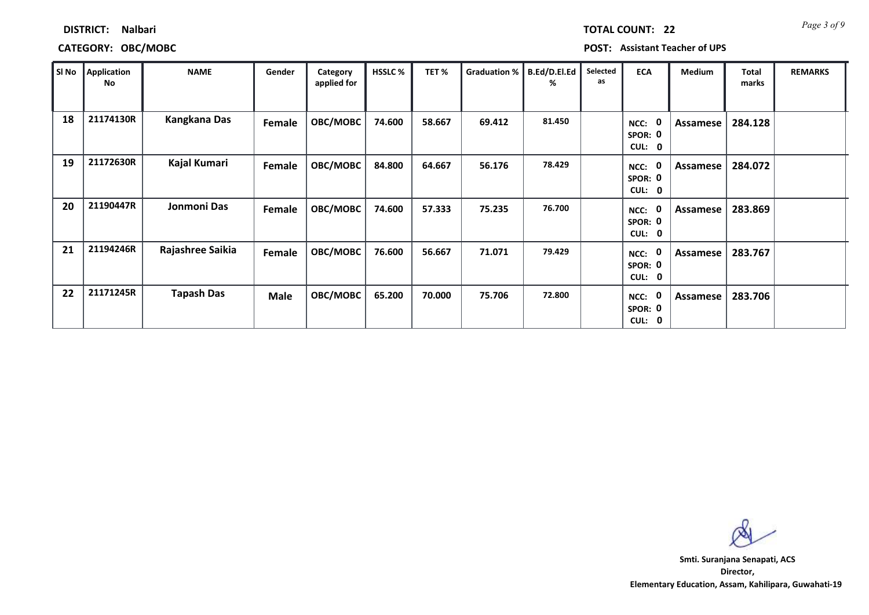| SI No | Application<br><b>No</b> | <b>NAME</b>         | Gender        | Category<br>applied for | HSSLC% | TET%   | Graduation % | <b>B.Ed/D.El.Ed</b><br>℅ | Selected<br>as | <b>ECA</b>                       | <b>Medium</b> | Total<br>marks | <b>REMARKS</b> |
|-------|--------------------------|---------------------|---------------|-------------------------|--------|--------|--------------|--------------------------|----------------|----------------------------------|---------------|----------------|----------------|
| 18    | 21174130R                | <b>Kangkana Das</b> | <b>Female</b> | OBC/MOBC                | 74.600 | 58.667 | 69.412       | 81.450                   |                | - 0<br>NCC:<br>SPOR: 0<br>CUL: 0 | Assamese      | 284.128        |                |
| 19    | 21172630R                | Kajal Kumari        | Female        | OBC/MOBC                | 84.800 | 64.667 | 56.176       | 78.429                   |                | - 0<br>NCC:<br>SPOR: 0<br>CUL: 0 | Assamese      | 284.072        |                |
| 20    | 21190447R                | Jonmoni Das         | Female        | OBC/MOBC                | 74.600 | 57.333 | 75.235       | 76.700                   |                | - 0<br>NCC:<br>SPOR: 0<br>CUL: 0 | Assamese      | 283.869        |                |
| 21    | 21194246R                | Rajashree Saikia    | Female        | OBC/MOBC                | 76.600 | 56.667 | 71.071       | 79.429                   |                | - 0<br>NCC:<br>SPOR: 0<br>CUL: 0 | Assamese      | 283.767        |                |
| 22    | 21171245R                | <b>Tapash Das</b>   | <b>Male</b>   | OBC/MOBC                | 65.200 | 70.000 | 75.706       | 72.800                   |                | 0<br>NCC:<br>SPOR: 0<br>CUL: 0   | Assamese      | 283.706        |                |

## **CATEGORY: OBC/MOBC POST: Assistant Teacher of UPS**

**DISTRICT: Nalbari**

**Director, Elementary Education, Assam, Kahilipara, Guwahati-19 Smti. Suranjana Senapati, ACS**

*Page 3 of 9* **TOTAL COUNT: 22**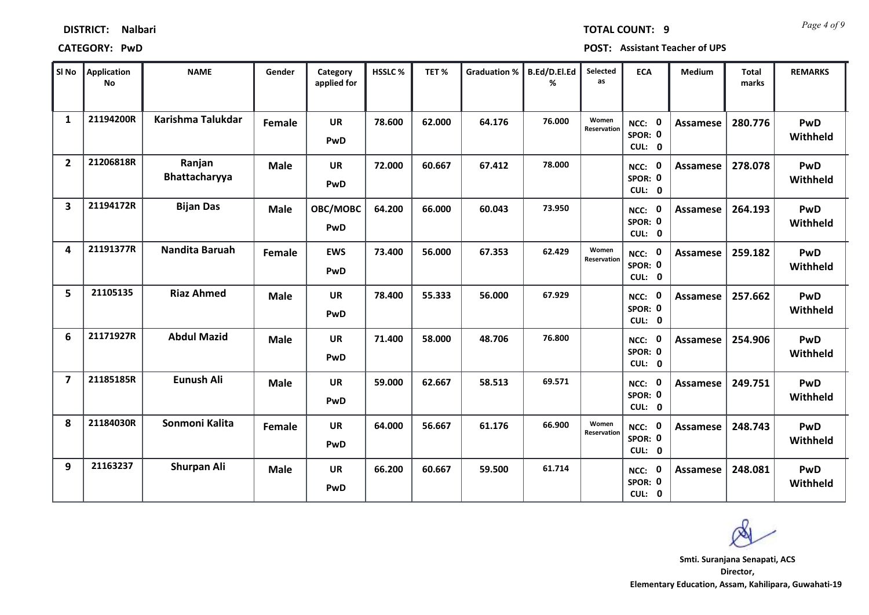| SI No                   | Application<br><b>No</b> | <b>NAME</b>             | Gender      | Category<br>applied for | HSSLC% | TET%   | <b>Graduation %</b> | B.Ed/D.El.Ed<br>% | Selected<br>as       | <b>ECA</b>                                  | Medium          | <b>Total</b><br>marks | <b>REMARKS</b>  |
|-------------------------|--------------------------|-------------------------|-------------|-------------------------|--------|--------|---------------------|-------------------|----------------------|---------------------------------------------|-----------------|-----------------------|-----------------|
| $\mathbf{1}$            | 21194200R                | Karishma Talukdar       | Female      | <b>UR</b><br>PwD        | 78.600 | 62.000 | 64.176              | 76.000            | Women<br>Reservation | $\mathbf 0$<br>NCC:<br>SPOR: 0<br>CUL: 0    | Assamese        | 280.776               | PwD<br>Withheld |
| $\overline{2}$          | 21206818R                | Ranjan<br>Bhattacharyya | <b>Male</b> | <b>UR</b><br>PwD        | 72.000 | 60.667 | 67.412              | 78.000            |                      | $\mathbf 0$<br>NCC:<br>SPOR: 0<br>CUL: 0    | Assamese        | 278.078               | PwD<br>Withheld |
| 3                       | 21194172R                | <b>Bijan Das</b>        | <b>Male</b> | OBC/MOBC<br>PwD         | 64.200 | 66.000 | 60.043              | 73.950            |                      | $\mathbf{0}$<br>NCC:<br>SPOR: 0<br>CUL: 0   | <b>Assamese</b> | 264.193               | PwD<br>Withheld |
| 4                       | 21191377R                | Nandita Baruah          | Female      | <b>EWS</b><br>PwD       | 73.400 | 56.000 | 67.353              | 62.429            | Women<br>Reservation | $\mathbf 0$<br>NCC:<br>SPOR: 0<br>CUL: 0    | Assamese        | 259.182               | PwD<br>Withheld |
| 5                       | 21105135                 | <b>Riaz Ahmed</b>       | <b>Male</b> | <b>UR</b><br>PwD        | 78.400 | 55.333 | 56.000              | 67.929            |                      | $\mathbf 0$<br>NCC:<br>SPOR: 0<br>CUL: 0    | <b>Assamese</b> | 257.662               | PwD<br>Withheld |
| 6                       | 21171927R                | <b>Abdul Mazid</b>      | <b>Male</b> | <b>UR</b><br>PwD        | 71.400 | 58.000 | 48.706              | 76.800            |                      | NCC: 0<br>SPOR: 0<br>CUL: 0                 | Assamese        | 254.906               | PwD<br>Withheld |
| $\overline{\mathbf{z}}$ | 21185185R                | <b>Eunush Ali</b>       | <b>Male</b> | <b>UR</b><br>PwD        | 59.000 | 62.667 | 58.513              | 69.571            |                      | $\mathbf 0$<br>NCC:<br>SPOR: 0<br>CUL: 0    | <b>Assamese</b> | 249.751               | PwD<br>Withheld |
| 8                       | 21184030R                | Sonmoni Kalita          | Female      | <b>UR</b><br>PwD        | 64.000 | 56.667 | 61.176              | 66.900            | Women<br>Reservation | $\mathbf 0$<br>$NCC$ :<br>SPOR: 0<br>CUL: 0 | <b>Assamese</b> | 248.743               | PwD<br>Withheld |
| 9                       | 21163237                 | <b>Shurpan Ali</b>      | <b>Male</b> | <b>UR</b><br>PwD        | 66.200 | 60.667 | 59.500              | 61.714            |                      | 0<br>NCC:<br>SPOR: 0<br>CUL:<br>$\mathbf 0$ | <b>Assamese</b> | 248.081               | PwD<br>Withheld |

**DISTRICT: Nalbari**

### **CATEGORY: PwD POST: Assistant Teacher of UPS**

**Director, Smti. Suranjana Senapati, ACS**

**Elementary Education, Assam, Kahilipara, Guwahati-19**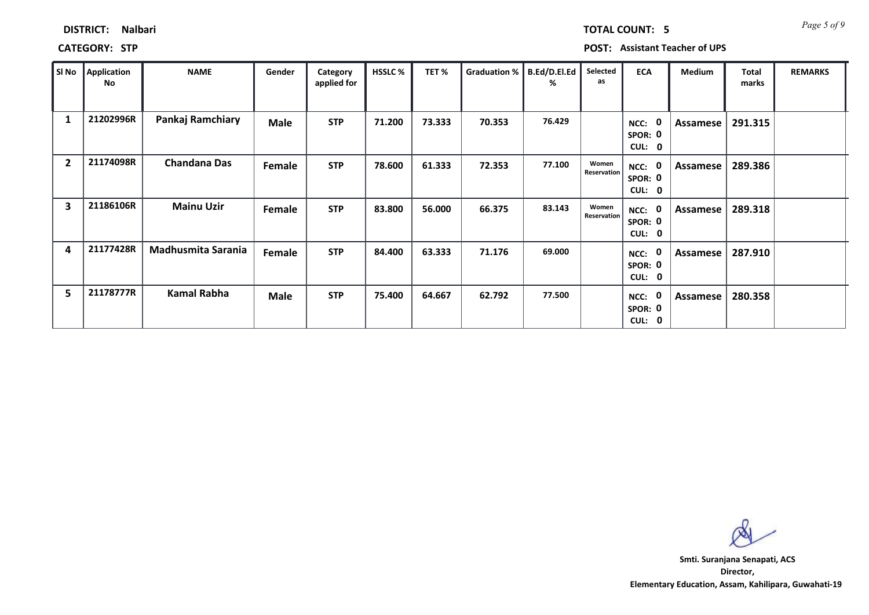| SI No                   | <b>Application</b><br>No | <b>NAME</b>               | Gender      | Category<br>applied for | <b>HSSLC %</b> | TET %  | Graduation % | B.Ed/D.El.Ed<br>% | Selected<br>as       | <b>ECA</b>                  | <b>Medium</b> | <b>Total</b><br>marks | <b>REMARKS</b> |
|-------------------------|--------------------------|---------------------------|-------------|-------------------------|----------------|--------|--------------|-------------------|----------------------|-----------------------------|---------------|-----------------------|----------------|
| 1                       | 21202996R                | Pankaj Ramchiary          | <b>Male</b> | <b>STP</b>              | 71.200         | 73.333 | 70.353       | 76.429            |                      | NCC:<br>SPOR: 0<br>CUL: 0   | Assamese      | 291.315               |                |
| $\overline{2}$          | 21174098R                | <b>Chandana Das</b>       | Female      | <b>STP</b>              | 78.600         | 61.333 | 72.353       | 77.100            | Women<br>Reservation | NCC:<br>SPOR: 0<br>CUL: 0   | Assamese      | 289.386               |                |
| $\overline{\mathbf{3}}$ | 21186106R                | <b>Mainu Uzir</b>         | Female      | <b>STP</b>              | 83.800         | 56.000 | 66.375       | 83.143            | Women<br>Reservation | NCC: 0<br>SPOR: 0<br>CUL: 0 | Assamese      | 289.318               |                |
| 4                       | 21177428R                | <b>Madhusmita Sarania</b> | Female      | <b>STP</b>              | 84.400         | 63.333 | 71.176       | 69.000            |                      | NCC:<br>SPOR: 0<br>CUL: 0   | Assamese      | 287.910               |                |
| 5                       | 21178777R                | Kamal Rabha               | <b>Male</b> | <b>STP</b>              | 75.400         | 64.667 | 62.792       | 77.500            |                      | NCC:<br>SPOR: 0<br>CUL: 0   | Assamese      | 280.358               |                |

**DISTRICT: Nalbari**

**CATEGORY: STP POST: Assistant Teacher of UPS**

**Director, Elementary Education, Assam, Kahilipara, Guwahati-19 Smti. Suranjana Senapati, ACS**

*Page 5 of 9* **TOTAL COUNT: 5**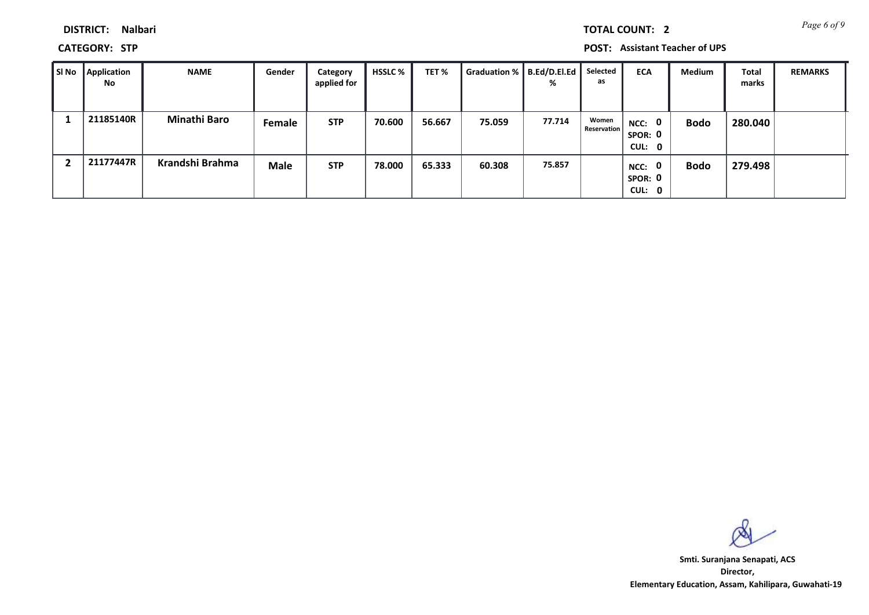*Page 6 of 9* **TOTAL COUNT: 2**

**DISTRICT: Nalbari**

**CATEGORY: STP POST: Assistant Teacher of UPS**

| l SI No | Application<br>No | <b>NAME</b>         | Gender      | Category<br>applied for | <b>HSSLC %</b> | TET%   | Graduation %   B.Ed/D.El.Ed | %      | Selected<br>as              | <b>ECA</b>                               | <b>Medium</b> | <b>Total</b><br>marks | <b>REMARKS</b> |
|---------|-------------------|---------------------|-------------|-------------------------|----------------|--------|-----------------------------|--------|-----------------------------|------------------------------------------|---------------|-----------------------|----------------|
|         | 21185140R         | <b>Minathi Baro</b> | Female      | <b>STP</b>              | 70.600         | 56.667 | 75.059                      | 77.714 | Women<br><b>Reservation</b> | $\mathbf 0$<br>NCC:<br>SPOR: 0<br>CUL: 0 | <b>Bodo</b>   | 280.040               |                |
|         | 21177447R         | Krandshi Brahma     | <b>Male</b> | <b>STP</b>              | 78.000         | 65.333 | 60.308                      | 75.857 |                             | $\mathbf 0$<br>NCC:<br>SPOR: 0<br>CUL: 0 | <b>Bodo</b>   | 279.498               |                |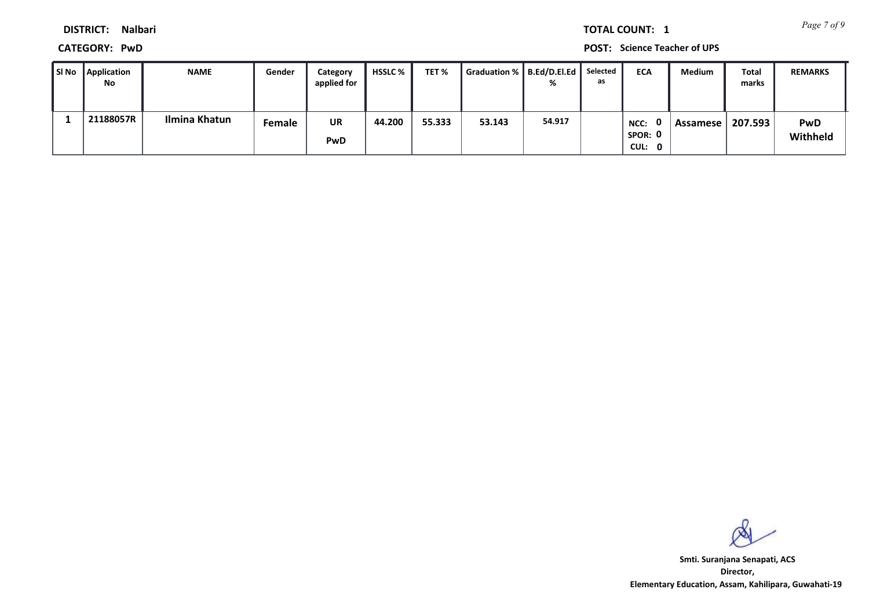*Page 7 of 9* **TOTAL COUNT: 1**

**DISTRICT: Nalbari**

**CATEGORY: PwD POST: Science Teacher of UPS**

| SI No Application<br>No | <b>NAME</b>   | Gender        | Category<br>applied for | HSSLC % | TET %  | Graduation %   B.Ed/D.El.Ed |        | Selected<br>as | <b>ECA</b>                | Medium   | Total<br>marks | <b>REMARKS</b>         |
|-------------------------|---------------|---------------|-------------------------|---------|--------|-----------------------------|--------|----------------|---------------------------|----------|----------------|------------------------|
| 21188057R               | Ilmina Khatun | <b>Female</b> | <b>UR</b><br>PwD        | 44.200  | 55.333 | 53.143                      | 54.917 |                | NCC:<br>SPOR: 0<br>CUL: 0 | Assamese | 207.593        | <b>PwD</b><br>Withheld |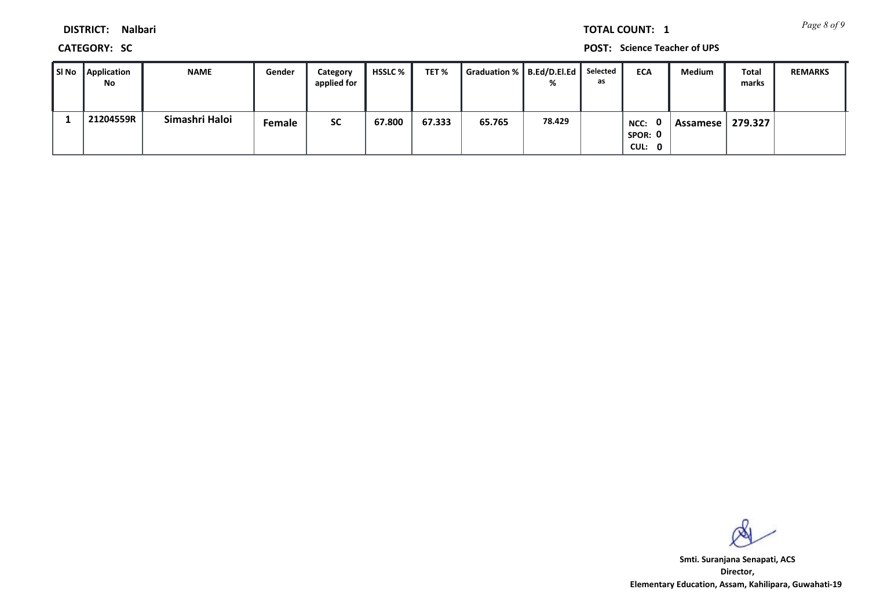*Page 8 of 9* **TOTAL COUNT: 1**

**DISTRICT: Nalbari**

**CATEGORY: SC POST: Science Teacher of UPS**

| SI No Application<br>No | <b>NAME</b>    | Gender | Category<br>applied for | HSSLC % | TET %  | Graduation %   B.Ed/D.El.Ed |        | Selected<br>as | <b>ECA</b>                | Medium     | Total<br>marks | <b>REMARKS</b> |
|-------------------------|----------------|--------|-------------------------|---------|--------|-----------------------------|--------|----------------|---------------------------|------------|----------------|----------------|
| 21204559R               | Simashri Haloi | Female | <b>SC</b>               | 67.800  | 67.333 | 65.765                      | 78.429 |                | NCC:<br>SPOR: 0<br>CUL: 0 | Assamese I | 279.327        |                |